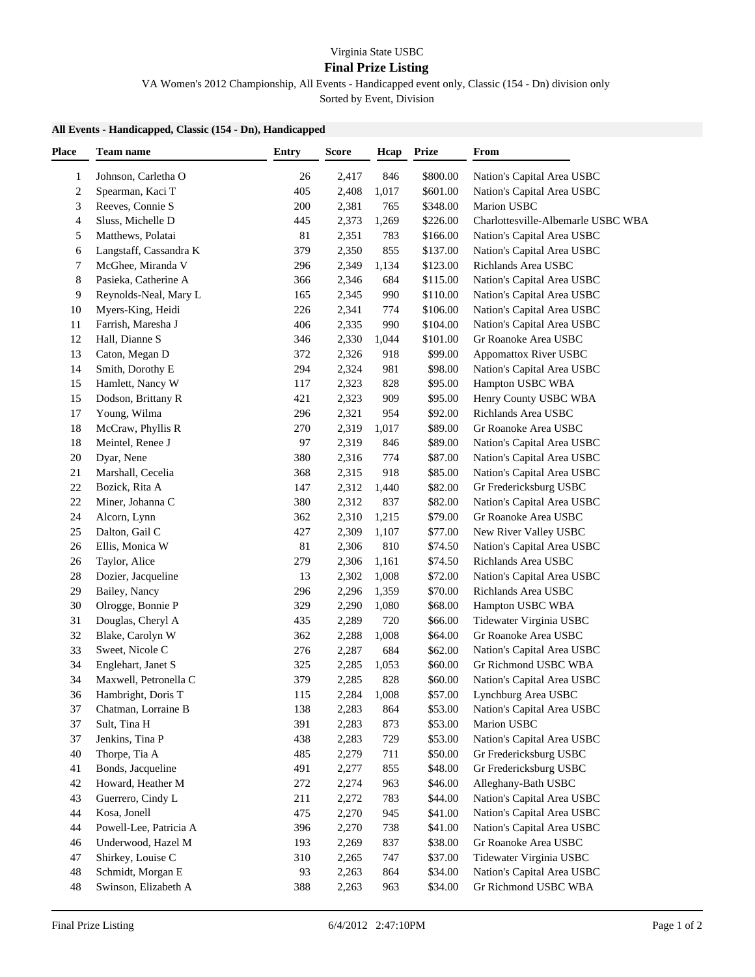## Virginia State USBC

## **Final Prize Listing**

VA Women's 2012 Championship, All Events - Handicapped event only, Classic (154 - Dn) division only Sorted by Event, Division

## **All Events - Handicapped, Classic (154 - Dn), Handicapped**

| <b>Place</b>            | Team name              | <b>Entry</b> | <b>Score</b> | Hcap  | <b>Prize</b> | From                               |
|-------------------------|------------------------|--------------|--------------|-------|--------------|------------------------------------|
| $\mathbf{1}$            | Johnson, Carletha O    | 26           | 2,417        | 846   | \$800.00     | Nation's Capital Area USBC         |
| $\overline{\mathbf{c}}$ | Spearman, Kaci T       | 405          | 2,408        | 1,017 | \$601.00     | Nation's Capital Area USBC         |
| 3                       | Reeves, Connie S       | 200          | 2,381        | 765   | \$348.00     | Marion USBC                        |
| 4                       | Sluss, Michelle D      | 445          | 2,373        | 1,269 | \$226.00     | Charlottesville-Albemarle USBC WBA |
| 5                       | Matthews, Polatai      | 81           | 2,351        | 783   | \$166.00     | Nation's Capital Area USBC         |
| 6                       | Langstaff, Cassandra K | 379          | 2,350        | 855   | \$137.00     | Nation's Capital Area USBC         |
| 7                       | McGhee, Miranda V      | 296          | 2,349        | 1,134 | \$123.00     | Richlands Area USBC                |
| 8                       | Pasieka, Catherine A   | 366          | 2,346        | 684   | \$115.00     | Nation's Capital Area USBC         |
| 9                       | Reynolds-Neal, Mary L  | 165          | 2,345        | 990   | \$110.00     | Nation's Capital Area USBC         |
| 10                      | Myers-King, Heidi      | 226          | 2,341        | 774   | \$106.00     | Nation's Capital Area USBC         |
| 11                      | Farrish, Maresha J     | 406          | 2,335        | 990   | \$104.00     | Nation's Capital Area USBC         |
| 12                      | Hall, Dianne S         | 346          | 2,330        | 1,044 | \$101.00     | Gr Roanoke Area USBC               |
| 13                      | Caton, Megan D         | 372          | 2,326        | 918   | \$99.00      | Appomattox River USBC              |
| 14                      | Smith, Dorothy E       | 294          | 2,324        | 981   | \$98.00      | Nation's Capital Area USBC         |
| 15                      | Hamlett, Nancy W       | 117          | 2,323        | 828   | \$95.00      | Hampton USBC WBA                   |
| 15                      | Dodson, Brittany R     | 421          | 2,323        | 909   | \$95.00      | Henry County USBC WBA              |
| 17                      | Young, Wilma           | 296          | 2,321        | 954   | \$92.00      | Richlands Area USBC                |
| 18                      | McCraw, Phyllis R      | 270          | 2,319        | 1,017 | \$89.00      | Gr Roanoke Area USBC               |
| 18                      | Meintel, Renee J       | 97           | 2,319        | 846   | \$89.00      | Nation's Capital Area USBC         |
| $20\,$                  | Dyar, Nene             | 380          | 2,316        | 774   | \$87.00      | Nation's Capital Area USBC         |
| 21                      | Marshall, Cecelia      | 368          | 2,315        | 918   | \$85.00      | Nation's Capital Area USBC         |
| $22\,$                  | Bozick, Rita A         | 147          | 2,312        | 1,440 | \$82.00      | Gr Fredericksburg USBC             |
| $22\,$                  | Miner, Johanna C       | 380          | 2,312        | 837   | \$82.00      | Nation's Capital Area USBC         |
| 24                      | Alcorn, Lynn           | 362          | 2,310        | 1,215 | \$79.00      | Gr Roanoke Area USBC               |
| $25\,$                  | Dalton, Gail C         | 427          | 2,309        | 1,107 | \$77.00      | New River Valley USBC              |
| 26                      | Ellis, Monica W        | 81           | 2,306        | 810   | \$74.50      | Nation's Capital Area USBC         |
| 26                      | Taylor, Alice          | 279          | 2,306        | 1,161 | \$74.50      | Richlands Area USBC                |
| $28\,$                  | Dozier, Jacqueline     | 13           | 2,302        | 1,008 | \$72.00      | Nation's Capital Area USBC         |
| 29                      | Bailey, Nancy          | 296          | 2,296        | 1,359 | \$70.00      | Richlands Area USBC                |
| $30\,$                  | Olrogge, Bonnie P      | 329          | 2,290        | 1,080 | \$68.00      | Hampton USBC WBA                   |
| 31                      | Douglas, Cheryl A      | 435          | 2,289        | 720   | \$66.00      | Tidewater Virginia USBC            |
| 32                      | Blake, Carolyn W       | 362          | 2,288        | 1,008 | \$64.00      | Gr Roanoke Area USBC               |
| 33                      | Sweet, Nicole C        | 276          | 2,287        | 684   | \$62.00      | Nation's Capital Area USBC         |
| 34                      | Englehart, Janet S     | 325          | 2,285        | 1,053 | \$60.00      | Gr Richmond USBC WBA               |
| 34                      | Maxwell, Petronella C  | 379          | 2,285        | 828   | \$60.00      | Nation's Capital Area USBC         |
| 36                      | Hambright, Doris T     | 115          | 2,284        | 1,008 | \$57.00      | Lynchburg Area USBC                |
| 37                      | Chatman, Lorraine B    | 138          | 2,283        | 864   | \$53.00      | Nation's Capital Area USBC         |
| 37                      | Sult, Tina H           | 391          | 2,283        | 873   | \$53.00      | Marion USBC                        |
| 37                      | Jenkins, Tina P        | 438          | 2,283        | 729   | \$53.00      | Nation's Capital Area USBC         |
| 40                      | Thorpe, Tia A          | 485          | 2,279        | 711   | \$50.00      | Gr Fredericksburg USBC             |
| 41                      | Bonds, Jacqueline      | 491          | 2,277        | 855   | \$48.00      | Gr Fredericksburg USBC             |
| $42\,$                  | Howard, Heather M      | 272          | 2,274        | 963   | \$46.00      | Alleghany-Bath USBC                |
| 43                      | Guerrero, Cindy L      | 211          | 2,272        | 783   | \$44.00      | Nation's Capital Area USBC         |
| 44                      | Kosa, Jonell           | 475          | 2,270        | 945   | \$41.00      | Nation's Capital Area USBC         |
| 44                      | Powell-Lee, Patricia A | 396          | 2,270        | 738   | \$41.00      | Nation's Capital Area USBC         |
| 46                      | Underwood, Hazel M     | 193          | 2,269        | 837   | \$38.00      | Gr Roanoke Area USBC               |
| 47                      | Shirkey, Louise C      | 310          | 2,265        | 747   | \$37.00      | Tidewater Virginia USBC            |
| 48                      | Schmidt, Morgan E      | 93           | 2,263        | 864   | \$34.00      | Nation's Capital Area USBC         |
| 48                      | Swinson, Elizabeth A   | 388          | 2,263        | 963   | \$34.00      | Gr Richmond USBC WBA               |
|                         |                        |              |              |       |              |                                    |